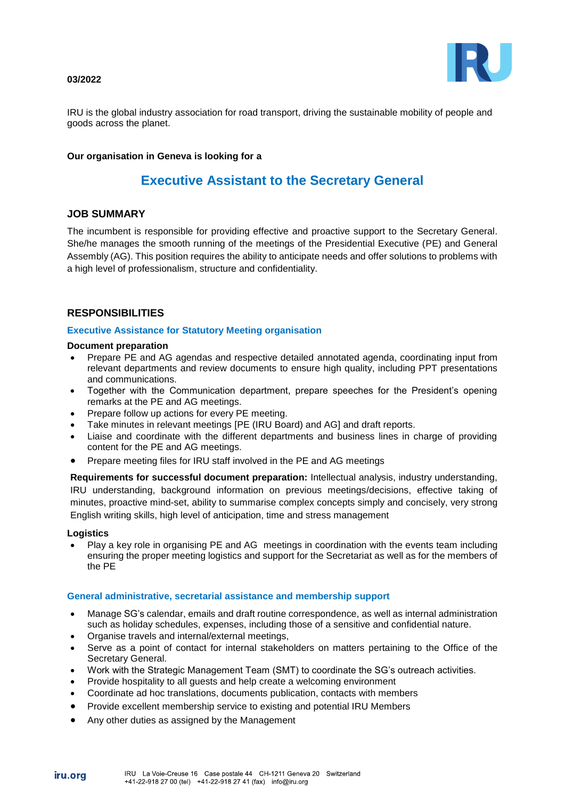#### **03/2022**



IRU is the global industry association for road transport, driving the sustainable mobility of people and goods across the planet.

### **Our organisation in Geneva is looking for a**

# **Executive Assistant to the Secretary General**

## **JOB SUMMARY**

The incumbent is responsible for providing effective and proactive support to the Secretary General. She/he manages the smooth running of the meetings of the Presidential Executive (PE) and General Assembly (AG). This position requires the ability to anticipate needs and offer solutions to problems with a high level of professionalism, structure and confidentiality.

# **RESPONSIBILITIES**

### **Executive Assistance for Statutory Meeting organisation**

### **Document preparation**

- Prepare PE and AG agendas and respective detailed annotated agenda, coordinating input from relevant departments and review documents to ensure high quality, including PPT presentations and communications.
- Together with the Communication department, prepare speeches for the President's opening remarks at the PE and AG meetings.
- Prepare follow up actions for every PE meeting.
- Take minutes in relevant meetings [PE (IRU Board) and AG] and draft reports.
- Liaise and coordinate with the different departments and business lines in charge of providing content for the PE and AG meetings.
- Prepare meeting files for IRU staff involved in the PE and AG meetings

**Requirements for successful document preparation:** Intellectual analysis, industry understanding, IRU understanding, background information on previous meetings/decisions, effective taking of minutes, proactive mind-set, ability to summarise complex concepts simply and concisely, very strong English writing skills, high level of anticipation, time and stress management

#### **Logistics**

iru.ora

 Play a key role in organising PE and AG meetings in coordination with the events team including ensuring the proper meeting logistics and support for the Secretariat as well as for the members of the PE

#### **General administrative, secretarial assistance and membership support**

- Manage SG's calendar, emails and draft routine correspondence, as well as internal administration such as holiday schedules, expenses, including those of a sensitive and confidential nature.
- Organise travels and internal/external meetings,
- Serve as a point of contact for internal stakeholders on matters pertaining to the Office of the Secretary General.
- Work with the Strategic Management Team (SMT) to coordinate the SG's outreach activities.
- Provide hospitality to all guests and help create a welcoming environment
- Coordinate ad hoc translations, documents publication, contacts with members
- Provide excellent membership service to existing and potential IRU Members
- Any other duties as assigned by the Management